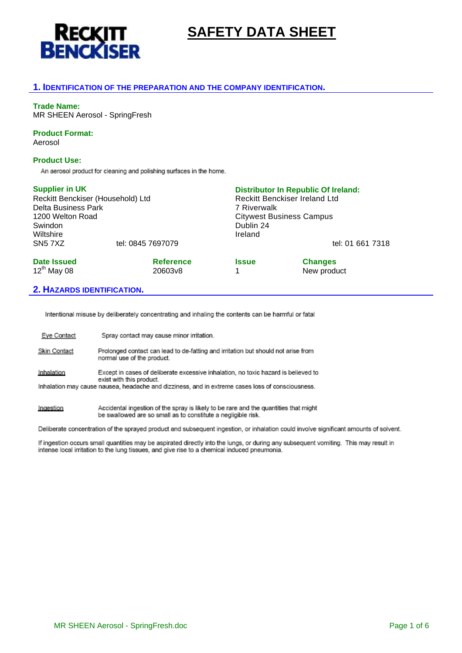

# **SAFETY DATA SHEET**

### **1. IDENTIFICATION OF THE PREPARATION AND THE COMPANY IDENTIFICATION.**

### **Trade Name:**

MR SHEEN Aerosol - SpringFresh

### **Product Format:**

Aerosol

### **Product Use:**

An aerosol product for cleaning and polishing surfaces in the home.

| <b>Supplier in UK</b>             |                   | <b>Distributor In Republic Of Ireland:</b><br><b>Reckitt Benckiser Ireland Ltd</b><br>7 Riverwalk |                  |  |
|-----------------------------------|-------------------|---------------------------------------------------------------------------------------------------|------------------|--|
| Reckitt Benckiser (Household) Ltd |                   |                                                                                                   |                  |  |
| Delta Business Park               |                   |                                                                                                   |                  |  |
| 1200 Welton Road                  |                   | <b>Citywest Business Campus</b>                                                                   |                  |  |
| Swindon                           |                   | Dublin 24                                                                                         |                  |  |
| Wiltshire                         |                   | Ireland                                                                                           |                  |  |
| SN <sub>5</sub> 7X <sub>Z</sub>   | tel: 0845 7697079 |                                                                                                   | tel: 01 661 7318 |  |
| <b>Date Issued</b>                | <b>Reference</b>  | <b>Issue</b>                                                                                      | <b>Changes</b>   |  |
| $12^{th}$ May 08                  | 20603v8           | 1                                                                                                 | New product      |  |

### **2. HAZARDS IDENTIFICATION.**

Intentional misuse by deliberately concentrating and inhaling the contents can be harmful or fatal

| Eye Contact  | Spray contact may cause minor irritation.                                                                       |
|--------------|-----------------------------------------------------------------------------------------------------------------|
| Skin Contact | Prolonged contact can lead to de-fatting and irritation but should not arise from<br>normal use of the product. |
| Inhalation   | Except in cases of deliberate excessive inhalation, no toxic hazard is believed to<br>exist with this product.  |
|              | Inhalation may cause nausea, headache and dizziness, and in extreme cases loss of consciousness.                |
| Ingestion    | Accidental ingestion of the spray is likely to be rare and the quantities that might                            |

be swallowed are so small as to constitute a negligible risk. Deliberate concentration of the sprayed product and subsequent ingestion, or inhalation could involve significant amounts of solvent.

If ingestion occurs small quantities may be aspirated directly into the lungs, or during any subsequent vomiting. This may result in intense local irritation to the lung tissues, and give rise to a chemical induced pneumonia.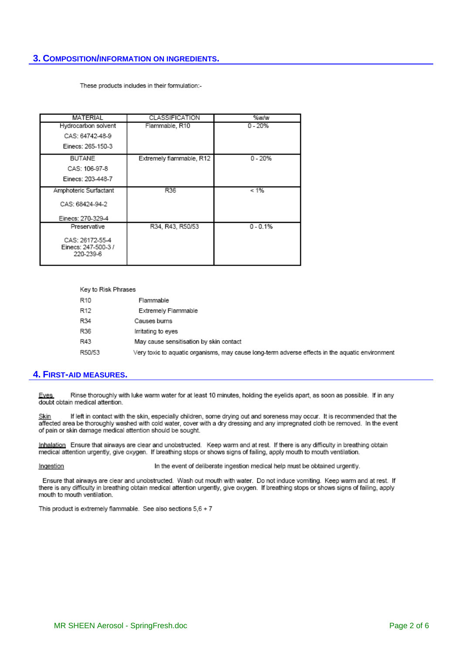## **3. COMPOSITION/INFORMATION ON INGREDIENTS.**

These products includes in their formulation:-

| <b>MATERIAL</b>                                     | CLASSIFICATION           | %w/w       |
|-----------------------------------------------------|--------------------------|------------|
| Hydrocarbon solvent                                 | Flammable, R10           | $0 - 20%$  |
| CAS: 64742-48-9                                     |                          |            |
| Einecs: 265-150-3                                   |                          |            |
| <b>BUTANE</b>                                       | Extremely flammable, R12 | $0 - 20%$  |
| CAS: 106-97-8                                       |                          |            |
| Einecs: 203-448-7                                   |                          |            |
| Amphoteric Surfactant                               | R36                      | < 1%       |
| CAS: 68424-94-2                                     |                          |            |
| Einecs: 270-329-4                                   |                          |            |
| Preservative                                        | R34, R43, R50/53         | $0 - 0.1%$ |
| CAS: 26172-55-4<br>Einecs: 247-500-3 /<br>220-239-6 |                          |            |

| Key to Risk Phrases |                                                                                                 |
|---------------------|-------------------------------------------------------------------------------------------------|
| R10                 | Flammable                                                                                       |
| R12                 | Extremely Flammable                                                                             |
| R34                 | Causes burns                                                                                    |
| R36                 | Irritating to eyes                                                                              |
| R43                 | May cause sensitisation by skin contact                                                         |
| R50/53              | Very toxic to aquatic organisms, may cause long-term adverse effects in the aquatic environment |

### **4. FIRST-AID MEASURES.**

Rinse thoroughly with luke warm water for at least 10 minutes, holding the eyelids apart, as soon as possible. If in any **Eves** doubt obtain medical attention.

If left in contact with the skin, especially children, some drying out and soreness may occur. It is recommended that the <u>Skin</u> affected area be thoroughly washed with cold water, cover with a dry dressing and any impregnated cloth be removed. In the event of pain or skin damage medical attention should be sought.

Inhalation Ensure that airways are clear and unobstructed. Keep warm and at rest. If there is any difficulty in breathing obtain medical attention urgently, give oxygen. If breathing stops or shows signs of failing, apply mouth to mouth ventilation.

In the event of deliberate ingestion medical help must be obtained urgently. Ingestion

Ensure that airways are clear and unobstructed. Wash out mouth with water. Do not induce vomiting. Keep warm and at rest. If there is any difficulty in breathing obtain medical attention urgently, give oxygen. If breathing stops or shows signs of failing, apply mouth to mouth ventilation.

This product is extremely flammable. See also sections  $5,6 + 7$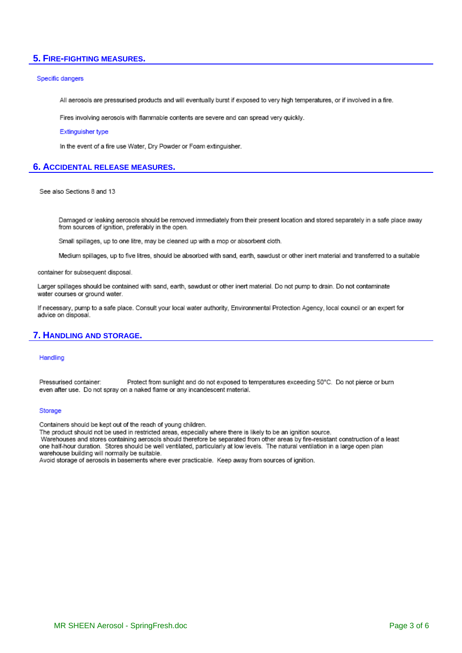### 5. FIRE-FIGHTING MEASURES.

#### Specific dangers

All aerosols are pressurised products and will eventually burst if exposed to very high temperatures, or if involved in a fire.

Fires involving aerosols with flammable contents are severe and can spread very quickly.

#### Extinguisher type

In the event of a fire use Water, Dry Powder or Foam extinguisher.

### **6. ACCIDENTAL RELEASE MEASURES.**

See also Sections 8 and 13

Damaged or leaking aerosols should be removed immediately from their present location and stored separately in a safe place away from sources of ignition, preferably in the open.

Small spillages, up to one litre, may be cleaned up with a mop or absorbent cloth.

Medium spillages, up to five litres, should be absorbed with sand, earth, sawdust or other inert material and transferred to a suitable

container for subsequent disposal.

Larger spillages should be contained with sand, earth, sawdust or other inert material. Do not pump to drain. Do not contaminate water courses or ground water.

If necessary, pump to a safe place. Consult your local water authority, Environmental Protection Agency, local council or an expert for advice on disposal.

### **7. HANDLING AND STORAGE.**

#### Handling

Protect from sunlight and do not exposed to temperatures exceeding 50°C. Do not pierce or burn Pressurised container: even after use. Do not spray on a naked flame or any incandescent material.

#### Storage

Containers should be kept out of the reach of young children.

The product should not be used in restricted areas, especially where there is likely to be an ignition source.

Warehouses and stores containing aerosols should therefore be separated from other areas by fire-resistant construction of a least one half-hour duration. Stores should be well ventilated, particularly at low levels. The natural ventilation in a large open plan warehouse building will normally be suitable.

Avoid storage of aerosols in basements where ever practicable. Keep away from sources of ignition.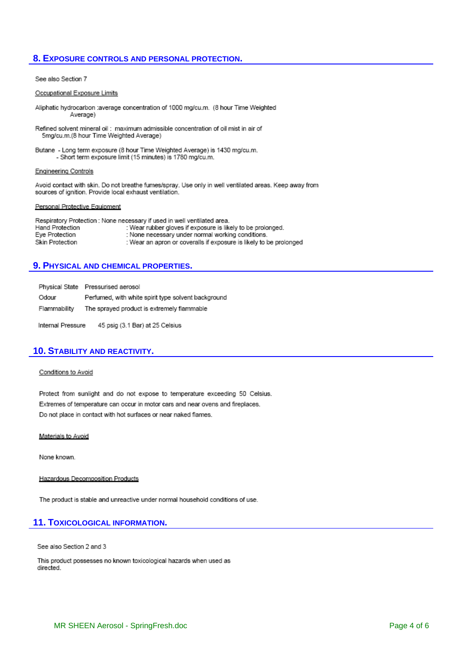### **8. EXPOSURE CONTROLS AND PERSONAL PROTECTION.**

#### See also Section 7

#### Occupational Exposure Limits

- Aliphatic hydrocarbon :average concentration of 1000 mg/cu.m. (8 hour Time Weighted Average)
- Refined solvent mineral oil: maximum admissible concentration of oil mist in air of 5mg/cu.m.(8 hour Time Weighted Average)
- Butane Long term exposure (8 hour Time Weighted Average) is 1430 mg/cu.m. - Short term exposure limit (15 minutes) is 1780 mg/cu.m.

#### **Engineering Controls**

Avoid contact with skin. Do not breathe fumes/spray. Use only in well ventilated areas. Keep away from sources of ignition. Provide local exhaust ventilation.

#### Personal Protective Equipment

Respiratory Protection : None necessary if used in well ventilated area. : Wear rubber gloves if exposure is likely to be prolonged. Hand Protection Eye Protection : None necessary under normal working conditions. Skin Protection : Wear an apron or coveralls if exposure is likely to be prolonged

### **9. PHYSICAL AND CHEMICAL PROPERTIES.**

|                   | Physical State Pressurised aerosol                  |
|-------------------|-----------------------------------------------------|
| Odour             | Perfumed, with white spirit type solvent background |
| Flammability      | The sprayed product is extremely flammable          |
| Internal Pressure | 45 psig (3.1 Bar) at 25 Celsius                     |

### **10. STABILITY AND REACTIVITY.**

#### Conditions to Avoid

Protect from sunlight and do not expose to temperature exceeding 50 Celsius. Extremes of temperature can occur in motor cars and near ovens and fireplaces. Do not place in contact with hot surfaces or near naked flames.

#### Materials to Avoid

None known.

Hazardous Decomposition Products

The product is stable and unreactive under normal household conditions of use.

### **11. TOXICOLOGICAL INFORMATION.**

See also Section 2 and 3

This product possesses no known toxicological hazards when used as directed.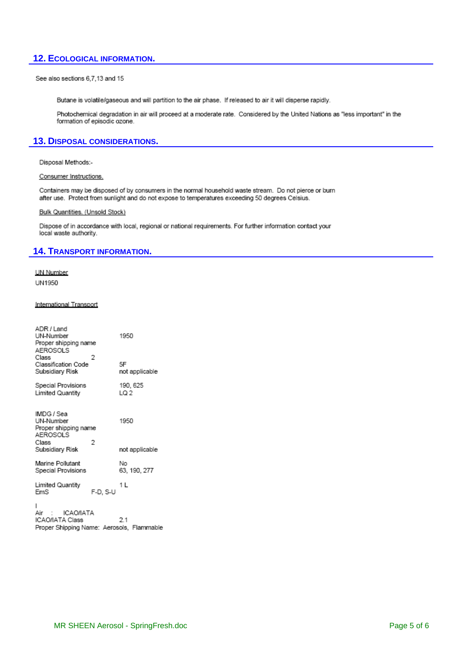## **12. ECOLOGICAL INFORMATION.**

See also sections 6,7,13 and 15

Butane is volatile/gaseous and will partition to the air phase. If released to air it will disperse rapidly.

Photochemical degradation in air will proceed at a moderate rate. Considered by the United Nations as "less important" in the formation of episodic ozone.

### **13. DISPOSAL CONSIDERATIONS.**

Disposal Methods:-

Consumer Instructions.

Containers may be disposed of by consumers in the normal household waste stream. Do not pierce or burn after use. Protect from sunlight and do not expose to temperatures exceeding 50 degrees Celsius.

#### Bulk Quantities. (Unsold Stock)

Dispose of in accordance with local, regional or national requirements. For further information contact your local waste authority.

### **14. TRANSPORT INFORMATION.**

UN Number UN1950

#### International Transport

| ADR / Land<br>UN-Number<br>Proper shipping name<br>AEROSOLS                             |          | 1950                   |
|-----------------------------------------------------------------------------------------|----------|------------------------|
| Class                                                                                   | 2        |                        |
| Classification Code<br>Subsidiary Risk                                                  |          | 5F<br>not applicable   |
| Special Provisions                                                                      |          | 190, 625               |
| Limited Quantity                                                                        |          | LQ 2                   |
| IMDG / Sea<br>UN-Number<br>Proper shipping name<br>AEROSOLS<br>Class<br>Subsidiary Risk | 2        | 1950<br>not applicable |
| Marine Pollutant<br>Special Provisions                                                  |          | No<br>63, 190, 277     |
| Limited Quantity<br>EmS                                                                 | F-D. S-U | 1 L                    |
| ı<br>Air<br>ICAO/IATA<br>ICAO/IATA Class                                                |          | 2.1                    |

-2.1 Proper Shipping Name: Aerosols, Flammable